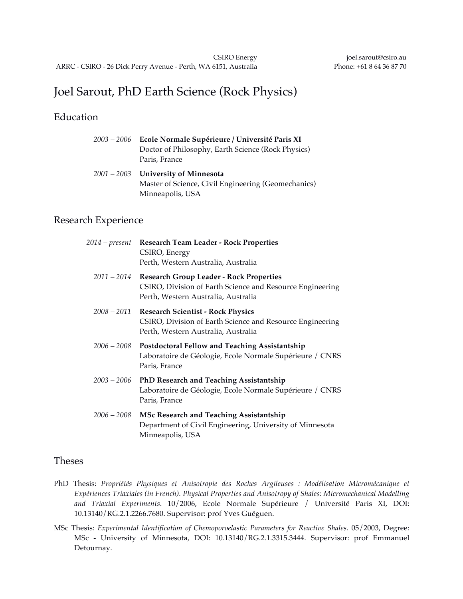# Joel Sarout, PhD Earth Science (Rock Physics)

## Education

| 2003 – 2006 Ecole Normale Supérieure / Université Paris XI<br>Doctor of Philosophy, Earth Science (Rock Physics)<br>Paris, France |
|-----------------------------------------------------------------------------------------------------------------------------------|
| $2001 - 2003$ University of Minnesota<br>Master of Science, Civil Engineering (Geomechanics)<br>Minneapolis, USA                  |

## Research Experience

| 2014 – present | <b>Research Team Leader - Rock Properties</b><br>CSIRO, Energy<br>Perth, Western Australia, Australia                                                   |
|----------------|---------------------------------------------------------------------------------------------------------------------------------------------------------|
|                | 2011 - 2014 Research Group Leader - Rock Properties<br>CSIRO, Division of Earth Science and Resource Engineering<br>Perth, Western Australia, Australia |
|                | 2008 - 2011 Research Scientist - Rock Physics<br>CSIRO, Division of Earth Science and Resource Engineering<br>Perth, Western Australia, Australia       |
| 2006 – 2008    | Postdoctoral Fellow and Teaching Assistantship<br>Laboratoire de Géologie, Ecole Normale Supérieure / CNRS<br>Paris, France                             |
| $2003 - 2006$  | <b>PhD Research and Teaching Assistantship</b><br>Laboratoire de Géologie, Ecole Normale Supérieure / CNRS<br>Paris, France                             |
| $2006-2008$    | MSc Research and Teaching Assistantship<br>Department of Civil Engineering, University of Minnesota<br>Minneapolis, USA                                 |

#### Theses

- PhD Thesis: *Propriétés Physiques et Anisotropie des Roches Argileuses : Modélisation Micromécanique et Expériences Triaxiales (in French). Physical Properties and Anisotropy of Shales: Micromechanical Modelling and Triaxial Experiments*. 10/2006, Ecole Normale Supérieure / Université Paris XI, DOI: 10.13140/RG.2.1.2266.7680. Supervisor: prof Yves Guéguen.
- MSc Thesis: *Experimental Identification of Chemoporoelastic Parameters for Reactive Shales*. 05/2003, Degree: MSc - University of Minnesota, DOI: 10.13140/RG.2.1.3315.3444. Supervisor: prof Emmanuel Detournay.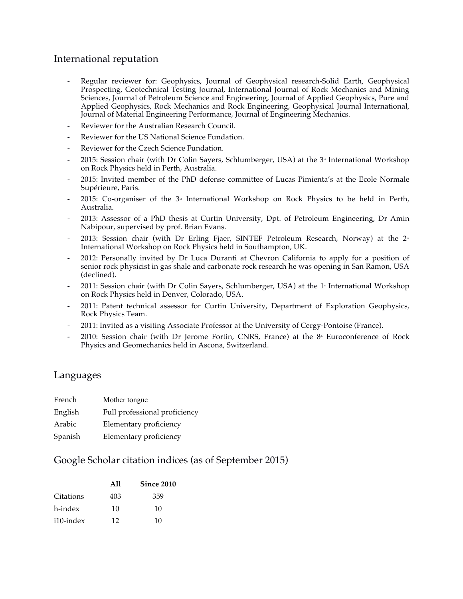### International reputation

- Regular reviewer for: Geophysics, Journal of Geophysical research-Solid Earth, Geophysical Prospecting, Geotechnical Testing Journal, International Journal of Rock Mechanics and Mining Sciences, Journal of Petroleum Science and Engineering, Journal of Applied Geophysics, Pure and Applied Geophysics, Rock Mechanics and Rock Engineering, Geophysical Journal International, Journal of Material Engineering Performance, Journal of Engineering Mechanics.
- Reviewer for the Australian Research Council.
- Reviewer for the US National Science Fundation.
- Reviewer for the Czech Science Fundation.
- 2015: Session chair (with Dr Colin Sayers, Schlumberger, USA) at the  $3<sup>a</sup>$  International Workshop on Rock Physics held in Perth, Australia.
- 2015: Invited member of the PhD defense committee of Lucas Pimienta's at the Ecole Normale Supérieure, Paris.
- 2015: Co-organiser of the  $3<sup>a</sup>$  International Workshop on Rock Physics to be held in Perth, Australia.
- 2013: Assessor of a PhD thesis at Curtin University, Dpt. of Petroleum Engineering, Dr Amin Nabipour, supervised by prof. Brian Evans.
- 2013: Session chair (with Dr Erling Fjaer, SINTEF Petroleum Research, Norway) at the  $2<sup>d</sup>$ International Workshop on Rock Physics held in Southampton, UK.
- 2012: Personally invited by Dr Luca Duranti at Chevron California to apply for a position of senior rock physicist in gas shale and carbonate rock research he was opening in San Ramon, USA (declined).
- 2011: Session chair (with Dr Colin Sayers, Schlumberger, USA) at the 1<sup>®</sup> International Workshop on Rock Physics held in Denver, Colorado, USA.
- 2011: Patent technical assessor for Curtin University, Department of Exploration Geophysics, Rock Physics Team.
- 2011: Invited as a visiting Associate Professor at the University of Cergy-Pontoise (France).
- 2010: Session chair (with Dr Jerome Fortin, CNRS, France) at the  $8<sup>*</sup>$  Euroconference of Rock Physics and Geomechanics held in Ascona, Switzerland.

#### Languages

| French  | Mother tongue                 |
|---------|-------------------------------|
| English | Full professional proficiency |
| Arabic  | Elementary proficiency        |
| Spanish | Elementary proficiency        |

#### Google Scholar citation indices (as of September 2015)

|           | All | Since 2010 |
|-----------|-----|------------|
| Citations | 403 | 359        |
| h-index   | 10  | 10         |
| i10-index | 12  | 10         |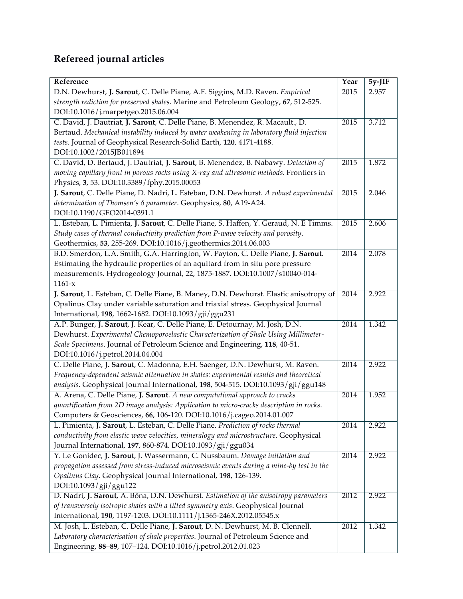# **Refereed journal articles**

| Reference                                                                                 | Year | $5y-JIF$ |
|-------------------------------------------------------------------------------------------|------|----------|
| D.N. Dewhurst, J. Sarout, C. Delle Piane, A.F. Siggins, M.D. Raven. Empirical             | 2015 | 2.957    |
| strength rediction for preserved shales. Marine and Petroleum Geology, 67, 512-525.       |      |          |
| DOI:10.1016/j.marpetgeo.2015.06.004                                                       |      |          |
| C. David, J. Dautriat, J. Sarout, C. Delle Piane, B. Menendez, R. Macault., D.            | 2015 | 3.712    |
| Bertaud. Mechanical instability induced by water weakening in laboratory fluid injection  |      |          |
| tests. Journal of Geophysical Research-Solid Earth, 120, 4171-4188.                       |      |          |
| DOI:10.1002/2015JB011894                                                                  |      |          |
| C. David, D. Bertaud, J. Dautriat, J. Sarout, B. Menendez, B. Nabawy. Detection of        | 2015 | 1.872    |
| moving capillary front in porous rocks using X-ray and ultrasonic methods. Frontiers in   |      |          |
| Physics, 3, 53. DOI:10.3389/fphy.2015.00053                                               |      |          |
| J. Sarout, C. Delle Piane, D. Nadri, L. Esteban, D.N. Dewhurst. A robust experimental     | 2015 | 2.046    |
| determination of Thomsen's $\delta$ parameter. Geophysics, 80, A19-A24.                   |      |          |
| DOI:10.1190/GEO2014-0391.1                                                                |      |          |
| L. Esteban, L. Pimienta, J. Sarout, C. Delle Piane, S. Haffen, Y. Geraud, N. E Timms.     | 2015 | 2.606    |
| Study cases of thermal conductivity prediction from P-wave velocity and porosity.         |      |          |
| Geothermics, 53, 255-269. DOI:10.1016/j.geothermics.2014.06.003                           |      |          |
| B.D. Smerdon, L.A. Smith, G.A. Harrington, W. Payton, C. Delle Piane, J. Sarout.          | 2014 | 2.078    |
| Estimating the hydraulic properties of an aquitard from in situ pore pressure             |      |          |
| measurements. Hydrogeology Journal, 22, 1875-1887. DOI:10.1007/s10040-014-                |      |          |
| $1161-x$                                                                                  |      |          |
| J. Sarout, L. Esteban, C. Delle Piane, B. Maney, D.N. Dewhurst. Elastic anisotropy of     | 2014 | 2.922    |
| Opalinus Clay under variable saturation and triaxial stress. Geophysical Journal          |      |          |
| International, 198, 1662-1682. DOI:10.1093/gji/ggu231                                     |      |          |
| A.P. Bunger, J. Sarout, J. Kear, C. Delle Piane, E. Detournay, M. Josh, D.N.              | 2014 | 1.342    |
| Dewhurst. Experimental Chemoporoelastic Characterization of Shale Using Millimeter-       |      |          |
| Scale Specimens. Journal of Petroleum Science and Engineering, 118, 40-51.                |      |          |
| DOI:10.1016/j.petrol.2014.04.004                                                          |      |          |
| C. Delle Piane, J. Sarout, C. Madonna, E.H. Saenger, D.N. Dewhurst, M. Raven.             | 2014 | 2.922    |
| Frequency-dependent seismic attenuation in shales: experimental results and theoretical   |      |          |
| analysis. Geophysical Journal International, 198, 504-515. DOI:10.1093/gji/ggu148         |      |          |
| A. Arena, C. Delle Piane, J. Sarout. A new computational approach to cracks               | 2014 | 1.952    |
| quantification from 2D image analysis: Application to micro-cracks description in rocks.  |      |          |
| Computers & Geosciences, 66, 106-120. DOI:10.1016/j.cageo.2014.01.007                     |      |          |
| L. Pimienta, J. Sarout, L. Esteban, C. Delle Piane. Prediction of rocks thermal           | 2014 | 2.922    |
| conductivity from elastic wave velocities, mineralogy and microstructure. Geophysical     |      |          |
| Journal International, 197, 860-874. DOI:10.1093 / gji / ggu034                           |      |          |
| Y. Le Gonidec, J. Sarout, J. Wassermann, C. Nussbaum. Damage initiation and               | 2014 | 2.922    |
| propagation assessed from stress-induced microseismic events during a mine-by test in the |      |          |
| Opalinus Clay. Geophysical Journal International, 198, 126-139.                           |      |          |
| DOI:10.1093/gji/ggu122                                                                    |      |          |
| D. Nadri, J. Sarout, A. Bóna, D.N. Dewhurst. Estimation of the anisotropy parameters      | 2012 | 2.922    |
| of transversely isotropic shales with a tilted symmetry axis. Geophysical Journal         |      |          |
| International, 190, 1197-1203. DOI:10.1111/j.1365-246X.2012.05545.x                       |      |          |
| M. Josh, L. Esteban, C. Delle Piane, J. Sarout, D. N. Dewhurst, M. B. Clennell.           | 2012 | 1.342    |
| Laboratory characterisation of shale properties. Journal of Petroleum Science and         |      |          |
| Engineering, 88-89, 107-124. DOI:10.1016/j.petrol.2012.01.023                             |      |          |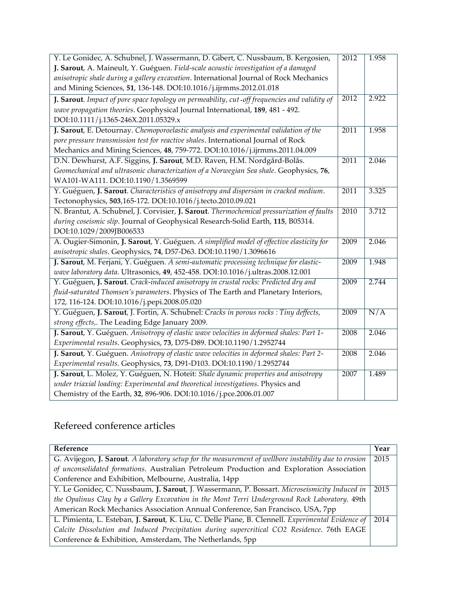| Y. Le Gonidec, A. Schubnel, J. Wassermann, D. Gibert, C. Nussbaum, B. Kergosien,              | 2012 | 1.958 |
|-----------------------------------------------------------------------------------------------|------|-------|
| J. Sarout, A. Maineult, Y. Guéguen. Field-scale acoustic investigation of a damaged           |      |       |
| anisotropic shale during a gallery excavation. International Journal of Rock Mechanics        |      |       |
| and Mining Sciences, 51, 136-148. DOI:10.1016/j.ijrmms.2012.01.018                            |      |       |
| J. Sarout. Impact of pore space topology on permeability, cut-off frequencies and validity of | 2012 | 2.922 |
| wave propagation theories. Geophysical Journal International, 189, 481 - 492.                 |      |       |
| DOI:10.1111/j.1365-246X.2011.05329.x                                                          |      |       |
| J. Sarout, E. Detournay. Chemoporoelastic analysis and experimental validation of the         | 2011 | 1.958 |
| pore pressure transmission test for reactive shales. International Journal of Rock            |      |       |
| Mechanics and Mining Sciences, 48, 759-772. DOI:10.1016/j.ijrmms.2011.04.009                  |      |       |
| D.N. Dewhurst, A.F. Siggins, J. Sarout, M.D. Raven, H.M. Nordgård-Bolås.                      | 2011 | 2.046 |
| Geomechanical and ultrasonic characterization of a Norwegian Sea shale. Geophysics, 76,       |      |       |
| WA101-WA111. DOI:10.1190/1.3569599                                                            |      |       |
| Y. Guéguen, J. Sarout. Characteristics of anisotropy and dispersion in cracked medium.        | 2011 | 3.325 |
| Tectonophysics, 503,165-172. DOI:10.1016/j.tecto.2010.09.021                                  |      |       |
| N. Brantut, A. Schubnel, J. Corvisier, J. Sarout. Thermochemical pressurization of faults     | 2010 | 3.712 |
| during coseismic slip. Journal of Geophysical Research-Solid Earth, 115, B05314.              |      |       |
| DOI:10.1029/2009JB006533                                                                      |      |       |
| A. Ougier-Simonin, J. Sarout, Y. Guéguen. A simplified model of effective elasticity for      | 2009 | 2.046 |
| anisotropic shales. Geophysics, 74, D57-D63. DOI:10.1190/1.3096616                            |      |       |
| J. Sarout, M. Ferjani, Y. Guéguen. A semi-automatic processing technique for elastic-         | 2009 | 1.948 |
| wave laboratory data. Ultrasonics, 49, 452-458. DOI:10.1016/j.ultras.2008.12.001              |      |       |
| Y. Guéguen, J. Sarout. Crack-induced anisotropy in crustal rocks: Predicted dry and           | 2009 | 2.744 |
| fluid-saturated Thomsen's parameters. Physics of The Earth and Planetary Interiors,           |      |       |
| 172, 116-124. DOI:10.1016/j.pepi.2008.05.020                                                  |      |       |
| Y. Guéguen, J. Sarout, J. Fortin, A. Schubnel: Cracks in porous rocks : Tiny deffects,        | 2009 | N/A   |
| strong effects,. The Leading Edge January 2009.                                               |      |       |
| J. Sarout, Y. Guéguen. Anisotropy of elastic wave velocities in deformed shales: Part 1-      | 2008 | 2.046 |
| Experimental results. Geophysics, 73, D75-D89. DOI:10.1190/1.2952744                          |      |       |
| J. Sarout, Y. Guéguen. Anisotropy of elastic wave velocities in deformed shales: Part 2-      | 2008 | 2.046 |
| Experimental results. Geophysics, 73, D91-D103. DOI:10.1190/1.2952744                         |      |       |
| J. Sarout, L. Molez, Y. Guéguen, N. Hoteit: Shale dynamic properties and anisotropy           | 2007 | 1.489 |
| under triaxial loading: Experimental and theoretical investigations. Physics and              |      |       |
| Chemistry of the Earth, 32, 896-906. DOI:10.1016/j.pce.2006.01.007                            |      |       |

# Refereed conference articles

| Reference                                                                                             | Year |
|-------------------------------------------------------------------------------------------------------|------|
| G. Avijegon, J. Sarout. A laboratory setup for the measurement of wellbore instability due to erosion | 2015 |
| of unconsolidated formations. Australian Petroleum Production and Exploration Association             |      |
| Conference and Exhibition, Melbourne, Australia, 14pp                                                 |      |
| Y. Le Gonidec, C. Nussbaum, J. Sarout, J. Wassermann, P. Bossart. Microseismicity Induced in          | 2015 |
| the Opalinus Clay by a Gallery Excavation in the Mont Terri Underground Rock Laboratory. 49th         |      |
| American Rock Mechanics Association Annual Conference, San Francisco, USA, 7pp                        |      |
| L. Pimienta, L. Esteban, J. Sarout, K. Liu, C. Delle Piane, B. Clennell. Experimental Evidence of     | 2014 |
| Calcite Dissolution and Induced Precipitation during supercritical CO2 Residence. 76th EAGE           |      |
| Conference & Exhibition, Amsterdam, The Netherlands, 5pp                                              |      |